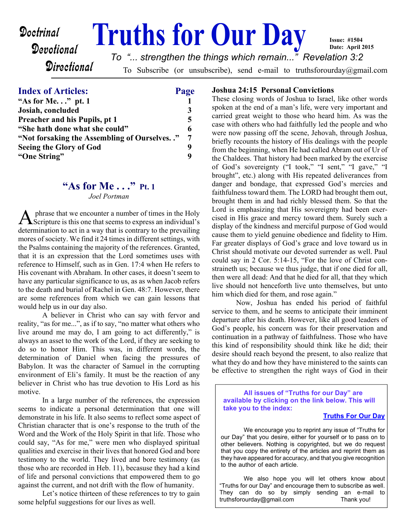# **Doctrinal Truths for Our Day**

*To "... strengthen the things which remain..." Revelation 3:2*

**Directional** 

To Subscribe (or unsubscribe), send e-mail to truthsforourday@gmail.com

#### **Index of Articles: Page**

Devotional

| "As for Me" pt. $1$                         |   |
|---------------------------------------------|---|
| Josiah, concluded                           | 3 |
| <b>Preacher and his Pupils, pt 1</b>        | 5 |
| "She hath done what she could"              | 6 |
| "Not forsaking the Assembling of Ourselves" | 7 |
| <b>Seeing the Glory of God</b>              | 9 |
| "One String"                                |   |

# **"As for Me . . ." Pt. 1**

*Joel Portman*

A phrase that we encounter a number of times in the Holy<br>Scripture is this one that seems to express an individual's phrase that we encounter a number of times in the Holy determination to act in a way that is contrary to the prevailing mores of society. We find it 24 times in different settings, with the Psalms containing the majority of the references. Granted, that it is an expression that the Lord sometimes uses with reference to Himself, such as in Gen. 17:4 when He refers to His covenant with Abraham. In other cases, it doesn't seem to have any particular significance to us, as as when Jacob refers to the death and burial of Rachel in Gen. 48:7. However, there are some references from which we can gain lessons that would help us in our day also.

 A believer in Christ who can say with fervor and reality, "as for me...", as if to say, "no matter what others who live around me may do, I am going to act differently," is always an asset to the work of the Lord, if they are seeking to do so to honor Him. This was, in different words, the determination of Daniel when facing the pressures of Babylon. It was the character of Samuel in the corrupting environment of Eli's family. It must be the reaction of any believer in Christ who has true devotion to His Lord as his motive.

In a large number of the references, the expression seems to indicate a personal determination that one will demonstrate in his life. It also seems to reflect some aspect of Christian character that is one's response to the truth of the Word and the Work of the Holy Spirit in that life. Those who could say, "As for me," were men who displayed spiritual qualities and exercise in their lives that honored God and bore testimony to the world. They lived and bore testimony (as those who are recorded in Heb. 11), becasuse they had a kind of life and personal convictions that empowered them to go against the current, and not drift with the flow of humanity.

 Let's notice thirteen of these references to try to gain some helpful suggestions for our lives as well.

#### **Joshua 24:15 Personal Convictions**

These closing words of Joshua to Israel, like other words spoken at the end of a man's life, were very important and carried great weight to those who heard him. As was the case with others who had faithfully led the people and who were now passing off the scene, Jehovah, through Joshua, briefly recounts the history of His dealings with the people from the beginning, when He had called Abram out of Ur of the Chaldees. That history had been marked by the exercise of God's sovereignty ("I took," "I sent," "I gave," "I brought", etc.) along with His repeated deliverances from danger and bondage, that expressed God's mercies and faithfulness toward them. The LORD had brought them out, brought them in and had richly blessed them. So that the Lord is emphasizing that His sovereignty had been exercised in His grace and mercy toward them. Surely such a display of the kindness and merciful purpose of God would cause them to yield genuine obedience and fidelity to Him. Far greater displays of God's grace and love toward us in Christ should motivate our devoted surrender as well. Paul could say in 2 Cor. 5:14-15, "For the love of Christ constraineth us; because we thus judge, that if one died for all, then were all dead: And that he died for all, that they which live should not henceforth live unto themselves, but unto him which died for them, and rose again."

**Issue: #1504 Date: April 2015**

Now, Joshua has ended his period of faithful service to them, and he seems to anticipate their imminent departure after his death. However, like all good leaders of God's people, his concern was for their preservation and continuation in a pathway of faithfulness. Those who have this kind of responsibility should think like he did; their desire should reach beyond the present, to also realize that what they do and how they have ministered to the saints can be effective to strengthen the right ways of God in their

**All issues of "Truths for our Day" are available by clicking on the link below. This will take you to the index:**

#### **[Truths For Our Day](http://truthsforourday.com)**

 We encourage you to reprint any issue of "Truths for our Day" that you desire, either for yourself or to pass on to other believers. Nothing is copyrighted, but we do request that you copy the entirety of the articles and reprint them as they have appeared for accuracy, and that you give recognition to the author of each article.

We also hope you will let others know about "Truths for our Day" and encourage them to subscribe as well. They can do so by simply sending an e-mail to truthsforourday@gmail.com Thank you!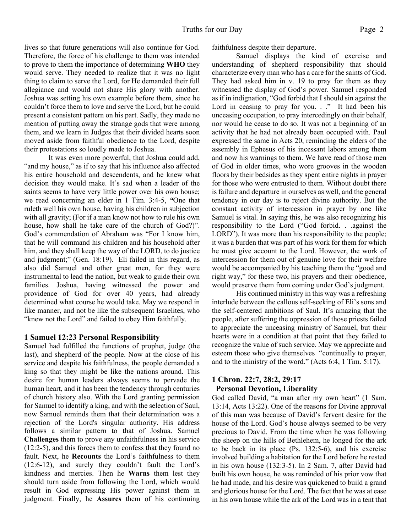lives so that future generations will also continue for God. Therefore, the force of his challenge to them was intended to prove to them the importance of determining **WHO** they would serve. They needed to realize that it was no light thing to claim to serve the Lord, for He demanded their full allegiance and would not share His glory with another. Joshua was setting his own example before them, since he couldn't force them to love and serve the Lord, but he could present a consistent pattern on his part. Sadly, they made no mention of putting away the strange gods that were among them, and we learn in Judges that their divided hearts soon moved aside from faithful obedience to the Lord, despite their protestations so loudly made to Joshua.

 It was even more powerful, that Joshua could add, "and my house," as if to say that his influence also affected his entire household and descendents, and he knew what decision they would make. It's sad when a leader of the saints seems to have very little power over his own house; we read concerning an elder in 1 Tim. 3:4-5, *"*One that ruleth well his own house, having his children in subjection with all gravity; (For if a man know not how to rule his own house, how shall he take care of the church of God?)". God's commendation of Abraham was "For I know him, that he will command his children and his household after him, and they shall keep the way of the LORD, to do justice and judgment;" (Gen. 18:19). Eli failed in this regard, as also did Samuel and other great men, for they were instrumental to lead the nation, but weak to guide their own families. Joshua, having witnessed the power and providence of God for over 40 years, had already determined what course he would take. May we respond in like manner, and not be like the subsequent Israelites, who "knew not the Lord" and failed to obey Him faithfully.

#### **1 Samuel 12:23 Personal Responsibility**

Samuel had fulfilled the functions of prophet, judge (the last), and shepherd of the people. Now at the close of his service and despite his faithfulness, the people demanded a king so that they might be like the nations around. This desire for human leaders always seems to pervade the human heart, and it has been the tendency through centuries of church history also. With the Lord granting permission for Samuel to identify a king, and with the selection of Saul, now Samuel reminds them that their determination was a rejection of the Lord's singular authority. His address follows a similar pattern to that of Joshua. Samuel **Challenges** them to prove any unfaithfulness in his service (12:2-5), and this forces them to confess that they found no fault. Next, he **Recounts** the Lord's faithfulness to them (12:6-12), and surely they couldn't fault the Lord's kindness and mercies. Then he **Warns** them lest they should turn aside from following the Lord, which would result in God expressing His power against them in judgment. Finally, he **Assures** them of his continuing faithfulness despite their departure.

Samuel displays the kind of exercise and understanding of shepherd responsibility that should characterize every man who has a care for the saints of God. They had asked him in v. 19 to pray for them as they witnessed the display of God's power. Samuel responded as if in indignation, "God forbid that I should sin against the Lord in ceasing to pray for you. . ." It had been his unceasing occupation, to pray intercedingly on their behalf, nor would he cease to do so. It was not a beginning of an activity that he had not already been occupied with. Paul expressed the same in Acts 20, reminding the elders of the assembly in Ephesus of his incessant labors among them and now his warnings to them. We have read of those men of God in older times, who wore grooves in the wooden floors by their bedsides as they spent entire nights in prayer for those who were entrusted to them. Without doubt there is failure and departure in ourselves as well, and the general tendency in our day is to reject divine authority. But the constant activity of intercession in prayer by one like Samuel is vital. In saying this, he was also recognizing his responsibility to the Lord ("God forbid. . .against the LORD"). It was more than his responsibility to the people; it was a burden that was part of his work for them for which he must give account to the Lord. However, the work of intercession for them out of genuine love for their welfare would be accompanied by his teaching them the "good and right way," for these two, his prayers and their obedience, would preserve them from coming under God's judgment.

 His continued ministry in this way was a refreshing interlude between the callous self-seeking of Eli's sons and the self-centered ambitions of Saul. It's amazing that the people, after suffering the oppression of those priests failed to appreciate the unceasing ministry of Samuel, but their hearts were in a condition at that point that they failed to recognize the value of such service. May we appreciate and esteem those who give themselves "continually to prayer, and to the ministry of the word." (Acts 6:4, 1 Tim. 5:17).

#### **1 Chron. 22:7, 28:2, 29:17 Personal Devotion, Liberality**

God called David, "a man after my own heart" (1 Sam. 13:14, Acts 13:22). One of the reasons for Divine approval of this man was because of David's fervent desire for the house of the Lord. God's house always seemed to be very precious to David. From the time when he was following the sheep on the hills of Bethlehem, he longed for the ark to be back in its place (Ps. 132:5-6), and his exercise involved building a habitation for the Lord before he rested in his own house (132:3-5). In 2 Sam. 7, after David had built his own house, he was reminded of his prior vow that he had made, and his desire was quickened to build a grand and glorious house for the Lord. The fact that he was at ease in his own house while the ark of the Lord was in a tent that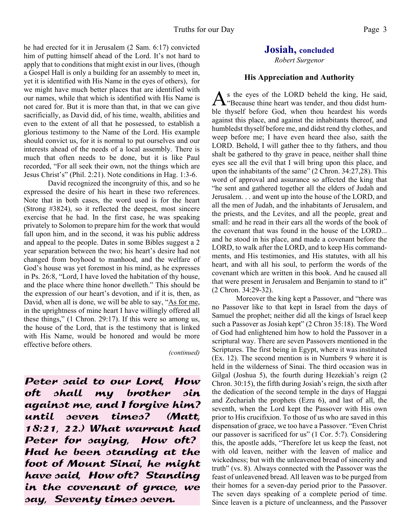he had erected for it in Jerusalem (2 Sam. 6:17) convicted him of putting himself ahead of the Lord. It's not hard to apply that to conditions that might exist in our lives, (though a Gospel Hall is only a building for an assembly to meet in, yet it is identified with His Name in the eyes of others), for we might have much better places that are identified with our names, while that which is identified with His Name is not cared for. But it is more than that, in that we can give sacrificially, as David did, of his time, wealth, abilities and even to the extent of all that he possessed, to establish a glorious testimony to the Name of the Lord. His example should convict us, for it is normal to put ourselves and our interests ahead of the needs of a local assembly. There is much that often needs to be done, but it is like Paul recorded, "For all seek their own, not the things which are Jesus Christ's" (Phil. 2:21). Note conditions in Hag. 1:3-6.

 David recognized the incongruity of this, and so he expressed the desire of his heart in these two references. Note that in both cases, the word used is for the heart (Strong #3824), so it reflected the deepest, most sincere exercise that he had. In the first case, he was speaking privately to Solomon to prepare him for the work that would fall upon him, and in the second, it was his public address and appeal to the people. Dates in some Bibles suggest a 2 year separation between the two; his heart's desire had not changed from boyhood to manhood, and the welfare of God's house was yet foremost in his mind, as he expresses in Ps. 26:8, "Lord, I have loved the habitation of thy house, and the place where thine honor dwelleth." This should be the expression of our heart's devotion, and if it is, then, as David, when all is done, we will be able to say, "As for me, in the uprightness of mine heart I have willingly offered all these things," (1 Chron. 29:17). If this were so among us, the house of the Lord, that is the testimony that is linked with His Name, would be honored and would be more effective before others.

*(continued)*

Peter said to our Lord, How oft shall my brother sin against me, and I forgive him? until seven times? (Matt, 18:21, 22.) What warrant had Peter for saying, How oft? Had he been standing at the foot of Mount Sinai, he might have said, How oft? Standing in the covenant of grace, we say, Seventy times seven.

#### **Josiah, concluded**

*Robert Surgenor*

#### **His Appreciation and Authority**

As the eyes of the LORD beheld the king, He said,<br>"Because thine heart was tender, and thou didst hums the eyes of the LORD beheld the king, He said, ble thyself before God, when thou heardest his words against this place, and against the inhabitants thereof, and humbledst thyself before me, and didst rend thy clothes, and weep before me; I have even heard thee also, saith the LORD. Behold, I will gather thee to thy fathers, and thou shalt be gathered to thy grave in peace, neither shall thine eyes see all the evil that I will bring upon this place, and upon the inhabitants of the same" (2 Chron. 34:27,28). This word of approval and assurance so affected the king that "he sent and gathered together all the elders of Judah and Jerusalem. . . and went up into the house of the LORD, and all the men of Judah, and the inhabitants of Jerusalem, and the priests, and the Levites, and all the people, great and small: and he read in their ears all the words of the book of the covenant that was found in the house of the LORD... and he stood in his place, and made a covenant before the LORD, to walk after the LORD, and to keep His commandments, and His testimonies, and His statutes, with all his heart, and with all his soul, to perform the words of the covenant which are written in this book. And he caused all that were present in Jerusalem and Benjamin to stand to it" (2 Chron. 34:29-32).

 Moreover the king kept a Passover, and "there was no Passover like to that kept in Israel from the days of Samuel the prophet; neither did all the kings of Israel keep such a Passover as Josiah kept" (2 Chron 35:18). The Word of God had enlightened him how to hold the Passover in a scriptural way. There are seven Passovers mentioned in the Scriptures. The first being in Egypt, where it was instituted (Ex. 12). The second mention is in Numbers 9 where it is held in the wilderness of Sinai. The third occasion was in Gilgal (Joshua 5), the fourth during Hezekiah's reign (2 Chron. 30:15), the fifth during Josiah's reign, the sixth after the dedication of the second temple in the days of Haggai and Zechariah the prophets (Ezra 6), and last of all, the seventh, when the Lord kept the Passover with His own prior to His crucifixion. To those of us who are saved in this dispensation of grace, we too have a Passover. "Even Christ our passover is sacrificed for us" (1 Cor. 5:7). Considering this, the apostle adds, "Therefore let us keep the feast, not with old leaven, neither with the leaven of malice and wickedness; but with the unleavened bread of sincerity and truth" (vs. 8). Always connected with the Passover was the feast of unleavened bread. All leaven was to be purged from their homes for a seven-day period prior to the Passover. The seven days speaking of a complete period of time. Since leaven is a picture of uncleanness, and the Passover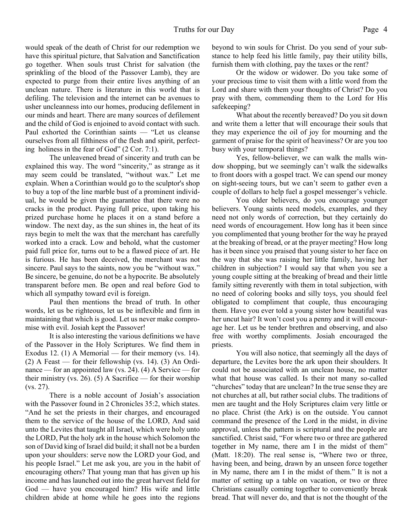would speak of the death of Christ for our redemption we have this spiritual picture, that Salvation and Sanctification go together. When souls trust Christ for salvation (the sprinkling of the blood of the Passover Lamb), they are expected to purge from their entire lives anything of an unclean nature. There is literature in this world that is defiling. The television and the internet can be avenues to usher uncleanness into our homes, producing defilement in our minds and heart. There are many sources of defilement and the child of God is enjoined to avoid contact with such. Paul exhorted the Corinthian saints — "Let us cleanse ourselves from all filthiness of the flesh and spirit, perfecting holiness in the fear of God" (2 Cor. 7:1).

 The unleavened bread of sincerity and truth can be explained this way. The word "sincerity," as strange as it may seem could be translated, "without wax." Let me explain. When a Corinthian would go to the sculptor's shop to buy a top of the line marble bust of a prominent individual, he would be given the guarantee that there were no cracks in the product. Paying full price, upon taking his prized purchase home he places it on a stand before a window. The next day, as the sun shines in, the heat of its rays begin to melt the wax that the merchant has carefully worked into a crack. Low and behold, what the customer paid full price for, turns out to be a flawed piece of art. He is furious. He has been deceived, the merchant was not sincere. Paul says to the saints, now you be "without wax." Be sincere, be genuine, do not be a hypocrite. Be absolutely transparent before men. Be open and real before God to which all sympathy toward evil is foreign.

 Paul then mentions the bread of truth. In other words, let us be righteous, let us be inflexible and firm in maintaining that which is good. Let us never make compromise with evil. Josiah kept the Passover!

It is also interesting the various definitions we have of the Passover in the Holy Scriptures. We find them in Exodus 12. (1) A Memorial — for their memory (vs. 14). (2) A Feast — for their fellowship (vs. 14). (3) An Ordinance — for an appointed law (vs. 24). (4) A Service — for their ministry (vs. 26). (5) A Sacrifice — for their worship (vs. 27).

 There is a noble account of Josiah's association with the Passover found in 2 Chronicles 35:2, which states. "And he set the priests in their charges, and encouraged them to the service of the house of the LORD, And said unto the Levites that taught all Israel, which were holy unto the LORD, Put the holy ark in the house which Solomon the son of David king of Israel did build; it shall not be a burden upon your shoulders: serve now the LORD your God, and his people Israel." Let me ask you, are you in the habit of encouraging others? That young man that has given up his income and has launched out into the great harvest field for God — have you encouraged him? His wife and little children abide at home while he goes into the regions

beyond to win souls for Christ. Do you send of your substance to help feed his little family, pay their utility bills, furnish them with clothing, pay the taxes or the rent?

 Or the widow or widower. Do you take some of your precious time to visit them with a little word from the Lord and share with them your thoughts of Christ? Do you pray with them, commending them to the Lord for His safekeeping?

 What about the recently bereaved? Do you sit down and write them a letter that will encourage their souls that they may experience the oil of joy for mourning and the garment of praise for the spirit of heaviness? Or are you too busy with your temporal things?

 Yes, fellow-believer, we can walk the malls window shopping, but we seemingly can't walk the sidewalks to front doors with a gospel tract. We can spend our money on sight-seeing tours, but we can't seem to gather even a couple of dollars to help fuel a gospel messenger's vehicle.

 You older believers, do you encourage younger believers. Young saints need models, examples, and they need not only words of correction, but they certainly do need words of encouragement. How long has it been since you complimented that young brother for the way he prayed at the breaking of bread, or at the prayer meeting? How long has it been since you praised that young sister to her face on the way that she was raising her little family, having her children in subjection? I would say that when you see a young couple sitting at the breaking of bread and their little family sitting reverently with them in total subjection, with no need of coloring books and silly toys, you should feel obligated to compliment that couple, thus encouraging them. Have you ever told a young sister how beautiful was her uncut hair? It won't cost you a penny and it will encourage her. Let us be tender brethren and observing, and also free with worthy compliments. Josiah encouraged the priests.

 You will also notice, that seemingly all the days of departure, the Levites bore the ark upon their shoulders. It could not be associated with an unclean house, no matter what that house was called. Is their not many so-called "churches" today that are unclean? In the true sense they are not churches at all, but rather social clubs. The traditions of men are taught and the Holy Scriptures claim very little or no place. Christ (the Ark) is on the outside. You cannot command the presence of the Lord in the midst, in divine approval, unless the pattern is scriptural and the people are sanctified. Christ said, "For where two or three are gathered together in My name, there am I in the midst of them" (Matt. 18:20). The real sense is, "Where two or three, having been, and being, drawn by an unseen force together in My name, there am I in the midst of them." It is not a matter of setting up a table on vacation, or two or three Christians casually coming together to conveniently break bread. That will never do, and that is not the thought of the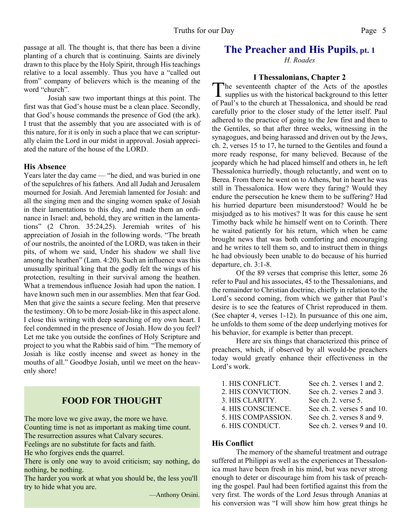passage at all. The thought is, that there has been a divine planting of a church that is continuing. Saints are divinely drawn to this place by the Holy Spirit, through His teachings relative to a local assembly. Thus you have a "called out from" company of believers which is the meaning of the word "church".

 Josiah saw two important things at this point. The first was that God's house must be a clean place. Secondly, that God's house commands the presence of God (the ark). I trust that the assembly that you are associated with is of this nature, for it is only in such a place that we can scripturally claim the Lord in our midst in approval. Josiah appreciated the nature of the house of the LORD.

#### **His Absence**

Years later the day came — "he died, and was buried in one of the sepulchres of his fathers. And all Judah and Jerusalem mourned for Josiah. And Jeremiah lamented for Josiah: and all the singing men and the singing women spake of Josiah in their lamentations to this day, and made them an ordinance in Israel: and, behold, they are written in the lamentations" (2 Chron. 35:24,25). Jeremiah writes of his appreciation of Josiah in the following words. "The breath of our nostrils, the anointed of the LORD, was taken in their pits, of whom we said, Under his shadow we shall live among the heathen" (Lam. 4:20). Such an influence was this unusually spiritual king that the godly felt the wings of his protection, resulting in their survival among the heathen. What a tremendous influence Josiah had upon the nation. I have known such men in our assemblies. Men that fear God. Men that give the saints a secure feeling. Men that preserve the testimony. Oh to be more Josiah-like in this aspect alone. I close this writing with deep searching of my own heart. I feel condemned in the presence of Josiah. How do you feel? Let me take you outside the confines of Holy Scripture and project to you what the Rabbis said of him. "The memory of Josiah is like costly incense and sweet as honey in the mouths of all." Goodbye Josiah, until we meet on the heavenly shore!

#### **FOOD FOR THOUGHT**

The more love we give away, the more we have.

Counting time is not as important as making time count.

The resurrection assures what Calvary secures.

Feelings are no substitute for facts and faith.

He who forgives ends the quarrel.

There is only one way to avoid criticism; say nothing, do nothing, be nothing.

The harder you work at what you should be, the less you'll try to hide what you are.

—Anthony Orsini.

#### **The Preacher and His Pupils, pt. 1**

*H. Roades*

#### **I Thessalonians, Chapter 2**

The seventeenth chapter of the Acts of the apostles<br>supplies us with the historical background to this letter he seventeenth chapter of the Acts of the apostles of Paul's to the church at Thessalonica, and should be read carefully prior to the closer study of the letter itself. Paul adhered to the practice of going to the Jew first and then to the Gentiles, so that after three weeks, witnessing in the synagogues, and being harassed and driven out by the Jews, ch. 2, verses 15 to 17, he turned to the Gentiles and found a more ready response, for many believed. Because of the jeopardy which he had placed himself and others in, he left Thessalonica hurriedly, though reluctantly, and went on to Berea. From there he went on to Athens, but in heart he was still in Thessalonica. How were they faring? Would they endure the persecution he knew them to be suffering? Had his hurried departure been misunderstood? Would he be misjudged as to his motives? It was for this cause he sent Timothy back while he himself went on to Corinth. There he waited patiently for his return, which when he came brought news that was both comforting and encouraging and he writes to tell them so, and to instruct them in things he had obviously been unable to do because of his hurried departure, ch. 3:1-8.

Of the 89 verses that comprise this letter, some 26 refer to Paul and his associates, 45 to the Thessalonians, and the remainder to Christian doctrine, chiefly in relation to the Lord's second coming, from which we gather that Paul's desire is to see the features of Christ reproduced in them. (See chapter 4, verses 1-12). In pursuance of this one aim, he unfolds to them some of the deep underlying motives for his behavior, for example is better than precept.

Here are six things that characterized this prince of preachers, which, if observed by all would-be preachers today would greatly enhance their effectiveness in the Lord's work.

| 1. HIS CONFLICT.   | See ch. 2. verses 1 and 2.  |
|--------------------|-----------------------------|
| 2. HIS CONVICTION. | See ch. 2. verses 2 and 3.  |
| 3. HIS CLARITY.    | See ch. 2. verse 5.         |
| 4. HIS CONSCIENCE. | See ch. 2. verses 5 and 10. |
| 5. HIS COMPASSION. | See ch. 2. verses 8 and 9.  |
| 6. HIS CONDUCT.    | See ch. 2. verses 9 and 10. |

#### **His Conflict**

The memory of the shameful treatment and outrage suffered at Philippi as well as the experiences at Thessalonica must have been fresh in his mind, but was never strong enough to deter or discourage him from his task of preaching the gospel. Paul had been fortified against this from the very first. The words of the Lord Jesus through Ananias at his conversion was "I will show him how great things he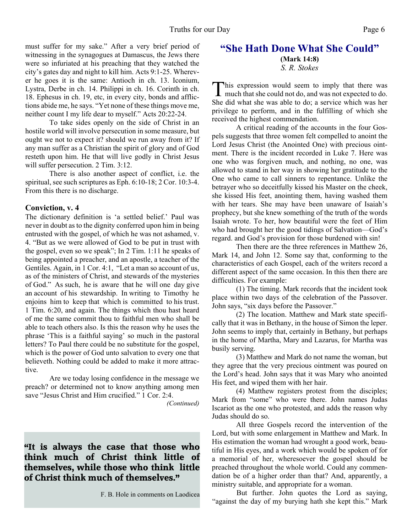must suffer for my sake." After a very brief period of witnessing in the synagogues at Damascus, the Jews there were so infuriated at his preaching that they watched the city's gates day and night to kill him. Acts 9:1-25. Wherever he goes it is the same: Antioch in ch. 13. Iconium, Lystra, Derbe in ch. 14. Philippi in ch. 16. Corinth in ch. 18. Ephesus in ch. 19, etc, in every city, bonds and afflictions abide me, he says. "Yet none of these things move me, neither count I my life dear to myself." Acts 20:22-24.

To take sides openly on the side of Christ in an hostile world will involve persecution in some measure, but ought we not to expect it? should we run away from it? If any man suffer as a Christian the spirit of glory and of God resteth upon him. He that will live godly in Christ Jesus will suffer persecution. 2 Tim. 3:12.

There is also another aspect of conflict, i.e. the spiritual, see such scriptures as Eph. 6:10-18; 2 Cor. 10:3-4. From this there is no discharge.

#### **Conviction, v. 4**

The dictionary definition is 'a settled belief.' Paul was never in doubt as to the dignity conferred upon him in being entrusted with the gospel, of which he was not ashamed, v. 4. "But as we were allowed of God to be put in trust with the gospel, even so we speak"; In 2 Tim. 1:11 he speaks of being appointed a preacher, and an apostle, a teacher of the Gentiles. Again, in 1 Cor. 4:1, "Let a man so account of us, as of the ministers of Christ, and stewards of the mysteries of God." As such, he is aware that he will one day give an account of his stewardship. In writing to Timothy he enjoins him to keep that which is committed to his trust. 1 Tim. 6:20, and again. The things which thou hast heard of me the same commit thou to faithful men who shall be able to teach others also. Is this the reason why he uses the phrase 'This is a faithful saying' so much in the pastoral letters? To Paul there could be no substitute for the gospel, which is the power of God unto salvation to every one that believeth. Nothing could be added to make it more attractive.

Are we today losing confidence in the message we preach? or determined not to know anything among men save "Jesus Christ and Him crucified." 1 Cor. 2:4.

*(Continued)*

#### **"It is always the case that those who think much of Christ think little of themselves, while those who think little of Christ think much of themselves."**

F. B. Hole in comments on Laodicea

#### **"She Hath Done What She Could" (Mark 14:8)** *S. R. Stokes*

This expression would seem to imply that there was much that she could not do, and was not expected to do. his expression would seem to imply that there was She did what she was able to do; a service which was her privilege to perform, and in the fulfilling of which she received the highest commendation.

A critical reading of the accounts in the four Gospels suggests that three women felt compelled to anoint the Lord Jesus Christ (the Anointed One) with precious ointment. There is the incident recorded in Luke 7. Here was one who was forgiven much, and nothing, no one, was allowed to stand in her way in showing her gratitude to the One who came to call sinners to repentance. Unlike the betrayer who so deceitfully kissed his Master on the cheek, she kissed His feet, anointing them, having washed them with her tears. She may have been unaware of Isaiah's prophecy, but she knew something of the truth of the words Isaiah wrote. To her, how beautiful were the feet of Him who had brought her the good tidings of Salvation—God's regard. and God's provision for those burdened with sin!

Then there are the three references in Matthew 26, Mark 14, and John 12. Some say that, conforming to the characteristics of each Gospel, each of the writers record a different aspect of the same occasion. In this then there are difficulties. For example:

(1) The timing. Mark records that the incident took place within two days of the celebration of the Passover. John says, "six days before the Passover."

(2) The location. Matthew and Mark state specifically that it was in Bethany, in the house of Simon the leper. John seems to imply that, certainly in Bethany, but perhaps in the home of Martha, Mary and Lazarus, for Martha was busily serving.

(3) Matthew and Mark do not name the woman, but they agree that the very precious ointment was poured on the Lord's head. John says that it was Mary who anointed His feet, and wiped them with her hair.

(4) Matthew registers protest from the disciples; Mark from "some" who were there. John names Judas Iscariot as the one who protested, and adds the reason why Judas should do so.

All three Gospels record the intervention of the Lord, but with some enlargement in Matthew and Mark. In His estimation the woman had wrought a good work, beautiful in His eyes, and a work which would be spoken of for a memorial of her, wheresoever the gospel should be preached throughout the whole world. Could any commendation be of a higher order than that? And, apparently, a ministry suitable, and appropriate for a woman.

But further. John quotes the Lord as saying, "against the day of my burying hath she kept this." Mark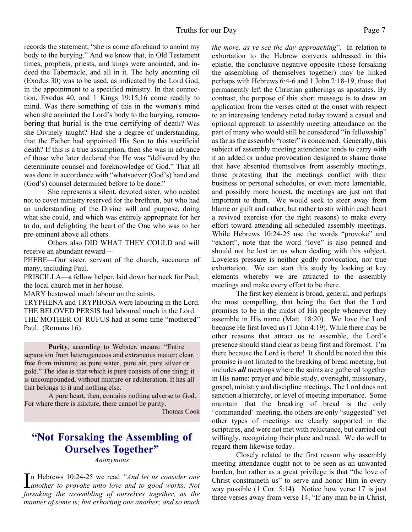records the statement, "she is come aforehand to anoint my body to the burying." And we know that, in Old Testament times, prophets, priests, and kings were anointed, and indeed the Tabernacle, and all in it. The holy anointing oil (Exodus 30) was to be used, as indicated by the Lord God, in the appointment to a specified ministry. In that connection, Exodus 40, and 1 Kings 19:15,16 come readily to mind. Was there something of this in the woman's mind when she anointed the Lord's body to the burying, remembering that burial is the true certifying of death? Was she Divinely taught? Had she a degree of understanding, that the Father had appointed His Son to this sacrificial death? If this is a true assumption, then she was in advance of those who later declared that He was "delivered by the determinate counsel and foreknowledge of God." That all was done in accordance with "whatsoever (God's) hand and (God's) counsel determined before to be done."

She represents a silent, devoted sister, who needed not to covet ministry reserved for the brethren, but who had an understanding of the Divine will and purpose, doing what she could, and which was entirely appropriate for her to do, and delighting the heart of the One who was to her pre-eminent above all others.

Others also DID WHAT THEY COULD and will receive an abundant reward—

PHEBE—Our sister, servant of the church, succourer of many, including Paul.

PRISCILLA—a fellow helper, laid down her neck for Paul, the local church met in her house.

MARY bestowed much labour on the saints.

TRYPHENA and TRYPHOSA were labouring in the Lord. THE BELOVED PERSIS had laboured much in the Lord. THE MOTHER OF RUFUS had at some time "mothered" Paul. (Romans 16).

**Purity**, according to Webster, means: "Entire separation from heterogeneous and extraneous matter; clear, free from mixture; as pure water, pure air, pure silver or gold." The idea is that which is pure consists of one thing; it is uncompounded, without mixture or adulteration. It has all that belongs to it and nothing else.

A pure heart, then, contains nothing adverse to God. For where there is mixture, there cannot be purity.

Thomas Cook

## **"Not Forsaking the Assembling of Ourselves Together"**

*Anonymous*

In Hebrews 10:24-25 we read *"And let us consider one*<br>*another to provoke unto love and to good works*; Not *another to provoke unto love and to good works; Not forsaking the assembling of ourselves together, as the manner of some is; but exhorting one another; and so much*

*the more, as ye see the day approaching*". In relation to exhortation to the Hebrew converts addressed in this epistle, the conclusive negative opposite (those forsaking the assembling of themselves together) may be linked perhaps with Hebrews 6:4-6 and 1 John 2:18-19, those that permanently left the Christian gatherings as apostates. By contrast, the purpose of this short message is to draw an application from the verses cited at the onset with respect to an increasing tendency noted today toward a casual and optional approach to assembly meeting attendance on the part of many who would still be considered "in fellowship" as far as the assembly "roster" is concerned. Generally, this subject of assembly meeting attendance tends to carry with it an added or undue provocation designed to shame those that have absented themselves from assembly meetings, those protesting that the meetings conflict with their business or personal schedules, or even more lamentable, and possibly more honest, the meetings are just not that important to them. We would seek to steer away from blame or guilt and rather, but rather to stir within each heart a revived exercise (for the right reasons) to make every effort toward attending all scheduled assembly meetings. While Hebrews 10:24-25 use the words "provoke" and "exhort", note that the word "love" is also penned and should not be lost on us when dealing with this subject. Loveless pressure is neither godly provocation, nor true exhortation. We can start this study by looking at key elements whereby we are attracted to the assembly meetings and make every effort to be there.

 The first key element is broad, general, and perhaps the most compelling, that being the fact that the Lord promises to be in the midst of His people whenever they assemble in His name (Matt. 18:20). We love the Lord because He first loved us (1 John 4:19). While there may be other reasons that attract us to assemble, the Lord's presence should stand clear as being first and foremost. I'm there because the Lord is there! It should be noted that this promise is not limited to the breaking of bread meeting, but includes *all* meetings where the saints are gathered together in His name: prayer and bible study, oversight, missionary, gospel, ministry and discipline meetings. The Lord does not sanction a hierarchy, or level of meeting importance. Some maintain that the breaking of bread is the only "commanded" meeting, the others are only "suggested" yet other types of meetings are clearly supported in the scriptures, and were not met with reluctance, but carried out willingly, recognizing their place and need. We do well to regard them likewise today.

 Closely related to the first reason why assembly meeting attendance ought not to be seen as an unwanted burden, but rather as a great privilege is that "the love of Christ constraineth us" to serve and honor Him in every way possible (1 Cor. 5:14). Notice how verse 17 is just three verses away from verse 14, "If any man be in Christ,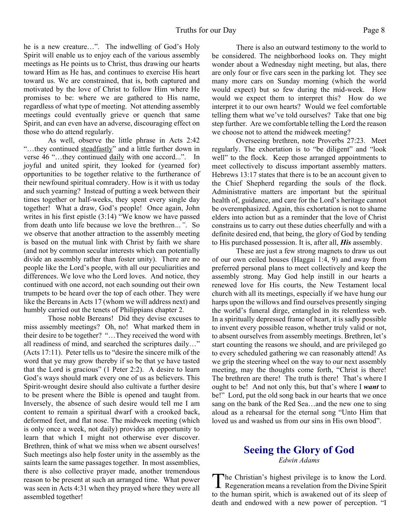he is a new creature…". The indwelling of God's Holy Spirit will enable us to enjoy each of the various assembly meetings as He points us to Christ, thus drawing our hearts toward Him as He has, and continues to exercise His heart toward us. We are constrained, that is, both captured and motivated by the love of Christ to follow Him where He promises to be: where we are gathered to His name, regardless of what type of meeting. Not attending assembly meetings could eventually grieve or quench that same Spirit, and can even have an adverse, discouraging effect on those who do attend regularly.

 As well, observe the little phrase in Acts 2:42 "…they continued steadfastly" and a little further down in verse 46 "…they continued daily with one accord...". In joyful and united spirit, they looked for (yearned for) opportunities to be together relative to the furtherance of their newfound spiritual comradery. How is it with us today and such yearning? Instead of putting a week between their times together or half-weeks, they spent every single day together! What a draw, God's people! Once again, John writes in his first epistle (3:14) "We know we have passed from death unto life because we love the brethren*…"*. So we observe that another attraction to the assembly meeting is based on the mutual link with Christ by faith we share (and not by common secular interests which can potentially divide an assembly rather than foster unity). There are no people like the Lord's people, with all our peculiarities and differences. We love who the Lord loves. And notice, they continued with one accord, not each sounding out their own trumpets to be heard over the top of each other. They were like the Bereans in Acts 17 (whom we will address next) and humbly carried out the tenets of Philippians chapter 2.

 Those noble Bereans! Did they devise excuses to miss assembly meetings? Oh, no! What marked them in their desire to be together? "…They received the word with all readiness of mind, and searched the scriptures daily…" (Acts 17:11). Peter tells us to "desire the sincere milk of the word that ye may grow thereby if so be that ye have tasted that the Lord is gracious" (1 Peter 2:2). A desire to learn God's ways should mark every one of us as believers. This Spirit-wrought desire should also cultivate a further desire to be present where the Bible is opened and taught from. Inversely, the absence of such desire would tell me I am content to remain a spiritual dwarf with a crooked back, deformed feet, and flat nose. The midweek meeting (which is only once a week, not daily) provides an opportunity to learn that which I might not otherwise ever discover. Brethren, think of what we miss when we absent ourselves! Such meetings also help foster unity in the assembly as the saints learn the same passages together. In most assemblies, there is also collective prayer made, another tremendous reason to be present at such an arranged time. What power was seen in Acts 4:31 when they prayed where they were all assembled together!

 There is also an outward testimony to the world to be considered. The neighborhood looks on. They might wonder about a Wednesday night meeting, but alas, there are only four or five cars seen in the parking lot. They see many more cars on Sunday morning (which the world would expect) but so few during the mid-week. How would we expect them to interpret this? How do we interpret it to our own hearts? Would we feel comfortable telling them what we've told ourselves? Take that one big step further. Are we comfortable telling the Lord the reason we choose not to attend the midweek meeting?

Overseeing brethren, note Proverbs 27:23. Meet regularly. The exhortation is to "be diligent" and "look well" to the flock. Keep those arranged appointments to meet collectively to discuss important assembly matters. Hebrews 13:17 states that there is to be an account given to the Chief Shepherd regarding the souls of the flock. Administrative matters are important but the spiritual health of, guidance, and care for the Lord's heritage cannot be overemphasized. Again, this exhortation is not to shame elders into action but as a reminder that the love of Christ constrains us to carry out these duties cheerfully and with a definite desired end, that being, the glory of God by tending to His purchased possession. It is, after all, *His* assembly.

 These are just a few strong magnets to draw us out of our own ceiled houses (Haggai 1:4, 9) and away from preferred personal plans to meet collectively and keep the assembly strong. May God help instill in our hearts a renewed love for His courts, the New Testament local church with all its meetings, especially if we have hung our harps upon the willows and find ourselves presently singing the world's funeral dirge, entangled in its relentless web. In a spiritually depressed frame of heart, it is sadly possible to invent every possible reason, whether truly valid or not, to absent ourselves from assembly meetings. Brethren, let's start counting the reasons we should, and are privileged go to every scheduled gathering we can reasonably attend! As we grip the steering wheel on the way to our next assembly meeting, may the thoughts come forth, "Christ is there! The brethren are there! The truth is there! That's where I ought to be! And not only this, but that's where I *want* to be!" Lord, put the old song back in our hearts that we once sang on the bank of the Red Sea…and the new one to sing aloud as a rehearsal for the eternal song "Unto Him that loved us and washed us from our sins in His own blood".

# **Seeing the Glory of God**

*Edwin Adams*

The Christian's highest privilege is to know the Lord.<br>Regeneration means a revelation from the Divine Spirit he Christian's highest privilege is to know the Lord. to the human spirit, which is awakened out of its sleep of death and endowed with a new power of perception. "I